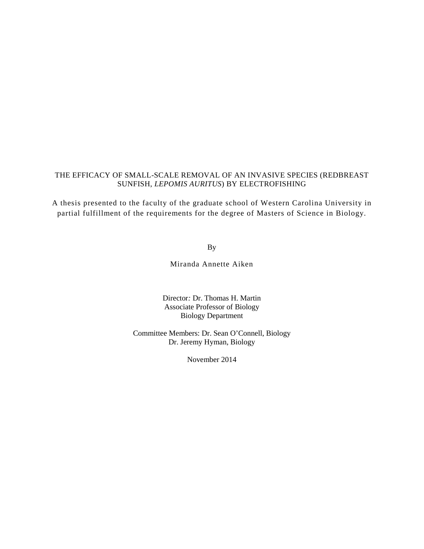## THE EFFICACY OF SMALL-SCALE REMOVAL OF AN INVASIVE SPECIES (REDBREAST SUNFISH, *LEPOMIS AURITUS*) BY ELECTROFISHING

A thesis presented to the faculty of the graduate school of Western Carolina University in partial fulfillment of the requirements for the degree of Masters of Science in Biology.

By

Miranda Annette Aiken

Director*:* Dr. Thomas H. Martin Associate Professor of Biology Biology Department

Committee Members: Dr. Sean O'Connell, Biology Dr. Jeremy Hyman, Biology

November 2014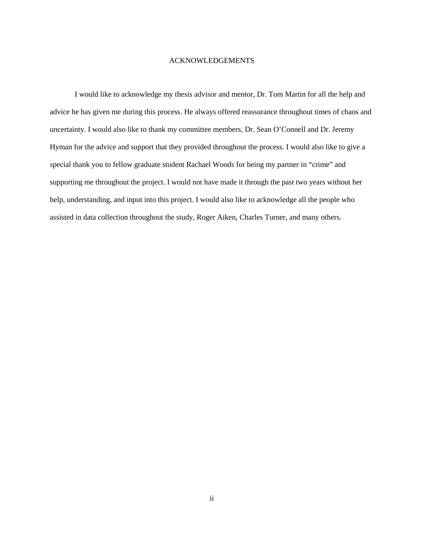#### ACKNOWLEDGEMENTS

I would like to acknowledge my thesis advisor and mentor, Dr. Tom Martin for all the help and advice he has given me during this process. He always offered reassurance throughout times of chaos and uncertainty. I would also like to thank my committee members, Dr. Sean O'Connell and Dr. Jeremy Hyman for the advice and support that they provided throughout the process. I would also like to give a special thank you to fellow graduate student Rachael Woods for being my partner in "crime" and supporting me throughout the project. I would not have made it through the past two years without her help, understanding, and input into this project. I would also like to acknowledge all the people who assisted in data collection throughout the study, Roger Aiken, Charles Turner, and many others.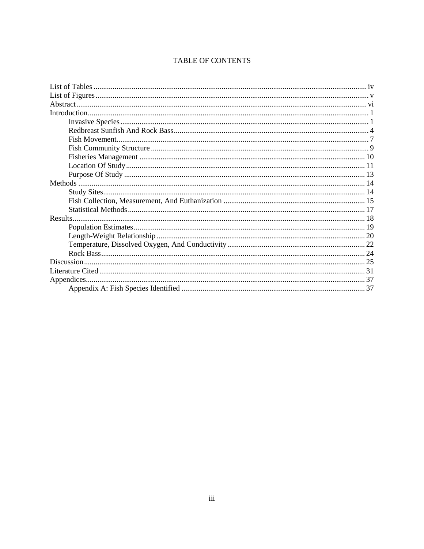# TABLE OF CONTENTS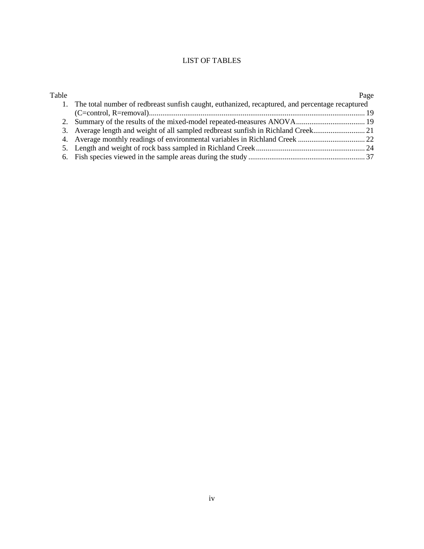# LIST OF TABLES

| Table |                                                                                                    | Page |
|-------|----------------------------------------------------------------------------------------------------|------|
|       | 1. The total number of redbreast sunfish caught, euthanized, recaptured, and percentage recaptured |      |
|       |                                                                                                    |      |
|       |                                                                                                    |      |
|       |                                                                                                    |      |
|       |                                                                                                    |      |
|       |                                                                                                    |      |
|       |                                                                                                    |      |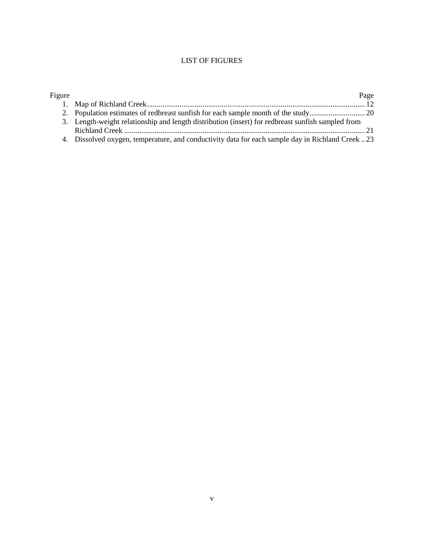# LIST OF FIGURES

| Figure |                                                                                                   | Page |
|--------|---------------------------------------------------------------------------------------------------|------|
|        |                                                                                                   |      |
|        |                                                                                                   |      |
|        | 3. Length-weight relationship and length distribution (insert) for redbreast sunfish sampled from |      |
|        |                                                                                                   |      |
|        | 4. Dissolved oxygen, temperature, and conductivity data for each sample day in Richland Creek 23  |      |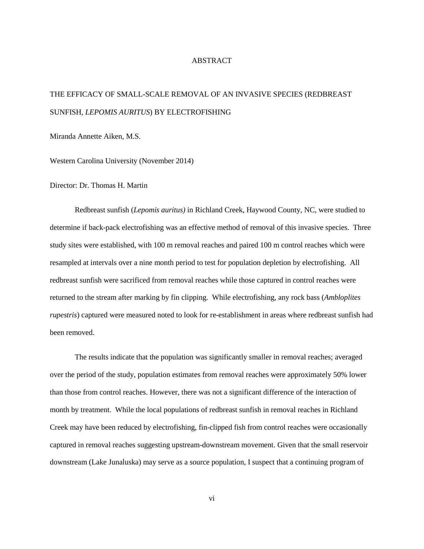#### ABSTRACT

# THE EFFICACY OF SMALL-SCALE REMOVAL OF AN INVASIVE SPECIES (REDBREAST SUNFISH, *LEPOMIS AURITUS*) BY ELECTROFISHING

Miranda Annette Aiken, M.S.

Western Carolina University (November 2014)

Director: Dr. Thomas H. Martin

Redbreast sunfish (*Lepomis auritus)* in Richland Creek, Haywood County, NC, were studied to determine if back-pack electrofishing was an effective method of removal of this invasive species. Three study sites were established, with 100 m removal reaches and paired 100 m control reaches which were resampled at intervals over a nine month period to test for population depletion by electrofishing. All redbreast sunfish were sacrificed from removal reaches while those captured in control reaches were returned to the stream after marking by fin clipping. While electrofishing, any rock bass (*Ambloplites rupestris*) captured were measured noted to look for re-establishment in areas where redbreast sunfish had been removed.

The results indicate that the population was significantly smaller in removal reaches; averaged over the period of the study, population estimates from removal reaches were approximately 50% lower than those from control reaches. However, there was not a significant difference of the interaction of month by treatment. While the local populations of redbreast sunfish in removal reaches in Richland Creek may have been reduced by electrofishing, fin-clipped fish from control reaches were occasionally captured in removal reaches suggesting upstream-downstream movement. Given that the small reservoir downstream (Lake Junaluska) may serve as a source population, I suspect that a continuing program of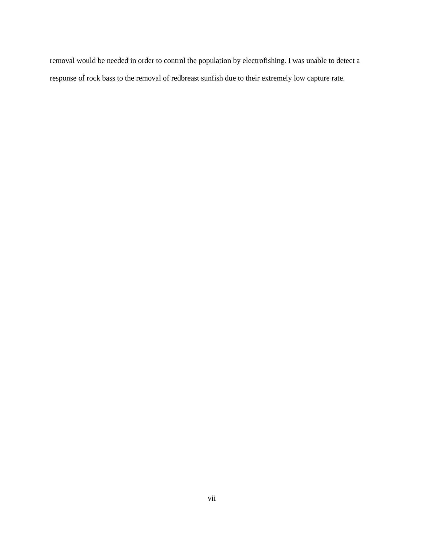removal would be needed in order to control the population by electrofishing. I was unable to detect a response of rock bass to the removal of redbreast sunfish due to their extremely low capture rate.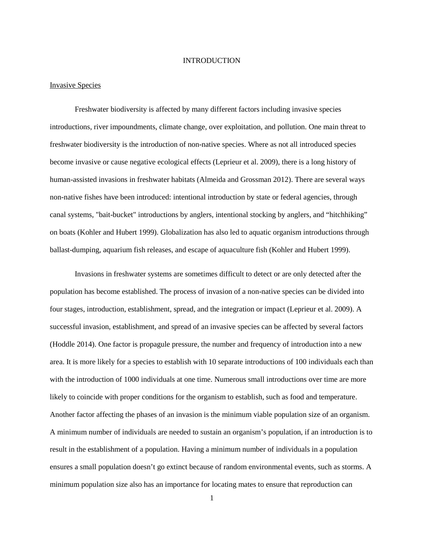#### INTRODUCTION

#### Invasive Species

Freshwater biodiversity is affected by many different factors including invasive species introductions, river impoundments, climate change, over exploitation, and pollution. One main threat to freshwater biodiversity is the introduction of non-native species. Where as not all introduced species become invasive or cause negative ecological effects (Leprieur et al. 2009), there is a long history of human-assisted invasions in freshwater habitats (Almeida and Grossman 2012). There are several ways non-native fishes have been introduced: intentional introduction by state or federal agencies, through canal systems, "bait-bucket" introductions by anglers, intentional stocking by anglers, and "hitchhiking" on boats (Kohler and Hubert 1999). Globalization has also led to aquatic organism introductions through ballast-dumping, aquarium fish releases, and escape of aquaculture fish (Kohler and Hubert 1999).

Invasions in freshwater systems are sometimes difficult to detect or are only detected after the population has become established. The process of invasion of a non-native species can be divided into four stages, introduction, establishment, spread, and the integration or impact (Leprieur et al. 2009). A successful invasion, establishment, and spread of an invasive species can be affected by several factors (Hoddle 2014). One factor is propagule pressure, the number and frequency of introduction into a new area. It is more likely for a species to establish with 10 separate introductions of 100 individuals each than with the introduction of 1000 individuals at one time. Numerous small introductions over time are more likely to coincide with proper conditions for the organism to establish, such as food and temperature. Another factor affecting the phases of an invasion is the minimum viable population size of an organism. A minimum number of individuals are needed to sustain an organism's population, if an introduction is to result in the establishment of a population. Having a minimum number of individuals in a population ensures a small population doesn't go extinct because of random environmental events, such as storms. A minimum population size also has an importance for locating mates to ensure that reproduction can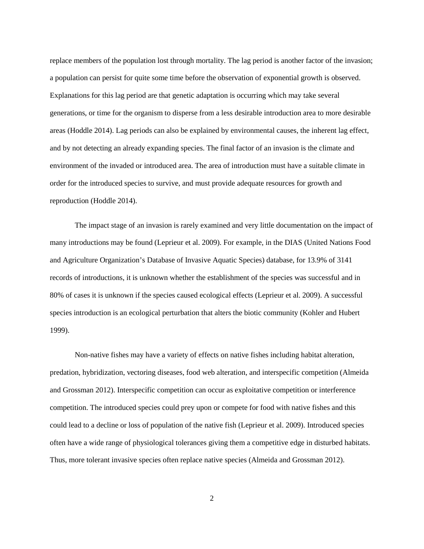replace members of the population lost through mortality. The lag period is another factor of the invasion; a population can persist for quite some time before the observation of exponential growth is observed. Explanations for this lag period are that genetic adaptation is occurring which may take several generations, or time for the organism to disperse from a less desirable introduction area to more desirable areas (Hoddle 2014). Lag periods can also be explained by environmental causes, the inherent lag effect, and by not detecting an already expanding species. The final factor of an invasion is the climate and environment of the invaded or introduced area. The area of introduction must have a suitable climate in order for the introduced species to survive, and must provide adequate resources for growth and reproduction (Hoddle 2014).

The impact stage of an invasion is rarely examined and very little documentation on the impact of many introductions may be found (Leprieur et al. 2009). For example, in the DIAS (United Nations Food and Agriculture Organization's Database of Invasive Aquatic Species) database, for 13.9% of 3141 records of introductions, it is unknown whether the establishment of the species was successful and in 80% of cases it is unknown if the species caused ecological effects (Leprieur et al. 2009). A successful species introduction is an ecological perturbation that alters the biotic community (Kohler and Hubert 1999).

Non-native fishes may have a variety of effects on native fishes including habitat alteration, predation, hybridization, vectoring diseases, food web alteration, and interspecific competition (Almeida and Grossman 2012). Interspecific competition can occur as exploitative competition or interference competition. The introduced species could prey upon or compete for food with native fishes and this could lead to a decline or loss of population of the native fish (Leprieur et al. 2009). Introduced species often have a wide range of physiological tolerances giving them a competitive edge in disturbed habitats. Thus, more tolerant invasive species often replace native species (Almeida and Grossman 2012).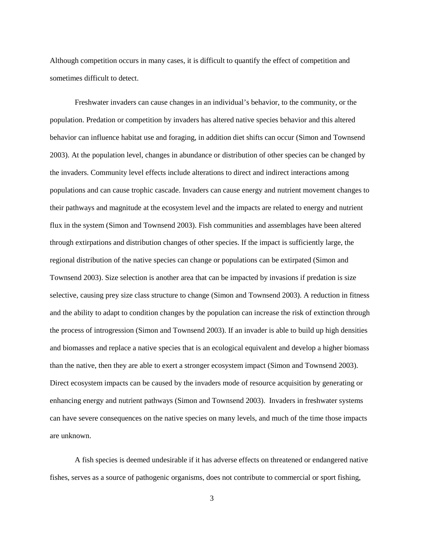Although competition occurs in many cases, it is difficult to quantify the effect of competition and sometimes difficult to detect.

Freshwater invaders can cause changes in an individual's behavior, to the community, or the population. Predation or competition by invaders has altered native species behavior and this altered behavior can influence habitat use and foraging, in addition diet shifts can occur (Simon and Townsend 2003). At the population level, changes in abundance or distribution of other species can be changed by the invaders. Community level effects include alterations to direct and indirect interactions among populations and can cause trophic cascade. Invaders can cause energy and nutrient movement changes to their pathways and magnitude at the ecosystem level and the impacts are related to energy and nutrient flux in the system (Simon and Townsend 2003). Fish communities and assemblages have been altered through extirpations and distribution changes of other species. If the impact is sufficiently large, the regional distribution of the native species can change or populations can be extirpated (Simon and Townsend 2003). Size selection is another area that can be impacted by invasions if predation is size selective, causing prey size class structure to change (Simon and Townsend 2003). A reduction in fitness and the ability to adapt to condition changes by the population can increase the risk of extinction through the process of introgression (Simon and Townsend 2003). If an invader is able to build up high densities and biomasses and replace a native species that is an ecological equivalent and develop a higher biomass than the native, then they are able to exert a stronger ecosystem impact (Simon and Townsend 2003). Direct ecosystem impacts can be caused by the invaders mode of resource acquisition by generating or enhancing energy and nutrient pathways (Simon and Townsend 2003). Invaders in freshwater systems can have severe consequences on the native species on many levels, and much of the time those impacts are unknown.

A fish species is deemed undesirable if it has adverse effects on threatened or endangered native fishes, serves as a source of pathogenic organisms, does not contribute to commercial or sport fishing,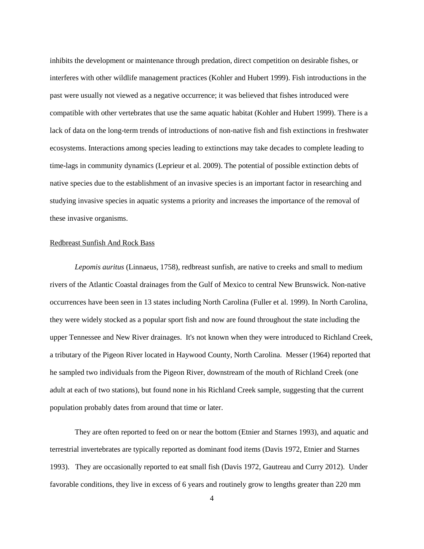inhibits the development or maintenance through predation, direct competition on desirable fishes, or interferes with other wildlife management practices (Kohler and Hubert 1999). Fish introductions in the past were usually not viewed as a negative occurrence; it was believed that fishes introduced were compatible with other vertebrates that use the same aquatic habitat (Kohler and Hubert 1999). There is a lack of data on the long-term trends of introductions of non-native fish and fish extinctions in freshwater ecosystems. Interactions among species leading to extinctions may take decades to complete leading to time-lags in community dynamics (Leprieur et al. 2009). The potential of possible extinction debts of native species due to the establishment of an invasive species is an important factor in researching and studying invasive species in aquatic systems a priority and increases the importance of the removal of these invasive organisms.

#### Redbreast Sunfish And Rock Bass

*Lepomis auritus* (Linnaeus, 1758), redbreast sunfish, are native to creeks and small to medium rivers of the Atlantic Coastal drainages from the Gulf of Mexico to central New Brunswick. Non-native occurrences have been seen in 13 states including North Carolina (Fuller et al. 1999). In North Carolina, they were widely stocked as a popular sport fish and now are found throughout the state including the upper Tennessee and New River drainages. It's not known when they were introduced to Richland Creek, a tributary of the Pigeon River located in Haywood County, North Carolina. Messer (1964) reported that he sampled two individuals from the Pigeon River, downstream of the mouth of Richland Creek (one adult at each of two stations), but found none in his Richland Creek sample, suggesting that the current population probably dates from around that time or later.

They are often reported to feed on or near the bottom (Etnier and Starnes 1993), and aquatic and terrestrial invertebrates are typically reported as dominant food items (Davis 1972, Etnier and Starnes 1993). They are occasionally reported to eat small fish (Davis 1972, Gautreau and Curry 2012). Under favorable conditions, they live in excess of 6 years and routinely grow to lengths greater than 220 mm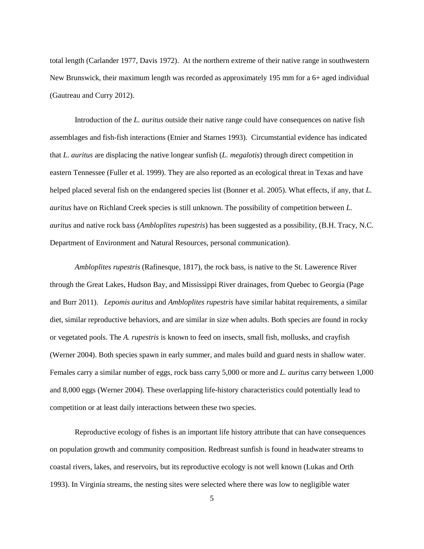total length (Carlander 1977, Davis 1972). At the northern extreme of their native range in southwestern New Brunswick, their maximum length was recorded as approximately 195 mm for a 6+ aged individual (Gautreau and Curry 2012).

Introduction of the *L. auritus* outside their native range could have consequences on native fish assemblages and fish-fish interactions (Etnier and Starnes 1993). Circumstantial evidence has indicated that *L. auritus* are displacing the native longear sunfish (*L. megalotis*) through direct competition in eastern Tennessee (Fuller et al. 1999). They are also reported as an ecological threat in Texas and have helped placed several fish on the endangered species list (Bonner et al. 2005). What effects, if any, that *L*. *auritus* have on Richland Creek species is still unknown. The possibility of competition between *L. auritus* and native rock bass (*Ambloplites rupestris*) has been suggested as a possibility, (B.H. Tracy, N.C. Department of Environment and Natural Resources, personal communication).

*Ambloplites rupestris* (Rafinesque, 1817), the rock bass, is native to the St. Lawerence River through the Great Lakes, Hudson Bay, and Mississippi River drainages, from Quebec to Georgia (Page and Burr 2011). *Lepomis auritus* and *Ambloplites rupestris* have similar habitat requirements, a similar diet, similar reproductive behaviors, and are similar in size when adults. Both species are found in rocky or vegetated pools. The *A. rupestris* is known to feed on insects, small fish, mollusks, and crayfish (Werner 2004). Both species spawn in early summer, and males build and guard nests in shallow water. Females carry a similar number of eggs, rock bass carry 5,000 or more and *L. auritus* carry between 1,000 and 8,000 eggs (Werner 2004). These overlapping life-history characteristics could potentially lead to competition or at least daily interactions between these two species.

Reproductive ecology of fishes is an important life history attribute that can have consequences on population growth and community composition. Redbreast sunfish is found in headwater streams to coastal rivers, lakes, and reservoirs, but its reproductive ecology is not well known (Lukas and Orth 1993). In Virginia streams, the nesting sites were selected where there was low to negligible water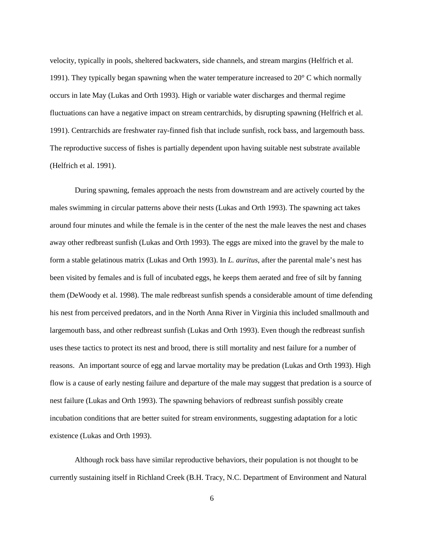velocity, typically in pools, sheltered backwaters, side channels, and stream margins (Helfrich et al. 1991). They typically began spawning when the water temperature increased to  $20^{\circ}$  C which normally occurs in late May (Lukas and Orth 1993). High or variable water discharges and thermal regime fluctuations can have a negative impact on stream centrarchids, by disrupting spawning (Helfrich et al. 1991). Centrarchids are freshwater ray-finned fish that include sunfish, rock bass, and largemouth bass. The reproductive success of fishes is partially dependent upon having suitable nest substrate available (Helfrich et al. 1991).

During spawning, females approach the nests from downstream and are actively courted by the males swimming in circular patterns above their nests (Lukas and Orth 1993). The spawning act takes around four minutes and while the female is in the center of the nest the male leaves the nest and chases away other redbreast sunfish (Lukas and Orth 1993). The eggs are mixed into the gravel by the male to form a stable gelatinous matrix (Lukas and Orth 1993). In *L. auritus*, after the parental male's nest has been visited by females and is full of incubated eggs, he keeps them aerated and free of silt by fanning them (DeWoody et al. 1998). The male redbreast sunfish spends a considerable amount of time defending his nest from perceived predators, and in the North Anna River in Virginia this included smallmouth and largemouth bass, and other redbreast sunfish (Lukas and Orth 1993). Even though the redbreast sunfish uses these tactics to protect its nest and brood, there is still mortality and nest failure for a number of reasons. An important source of egg and larvae mortality may be predation (Lukas and Orth 1993). High flow is a cause of early nesting failure and departure of the male may suggest that predation is a source of nest failure (Lukas and Orth 1993). The spawning behaviors of redbreast sunfish possibly create incubation conditions that are better suited for stream environments, suggesting adaptation for a lotic existence (Lukas and Orth 1993).

Although rock bass have similar reproductive behaviors, their population is not thought to be currently sustaining itself in Richland Creek (B.H. Tracy, N.C. Department of Environment and Natural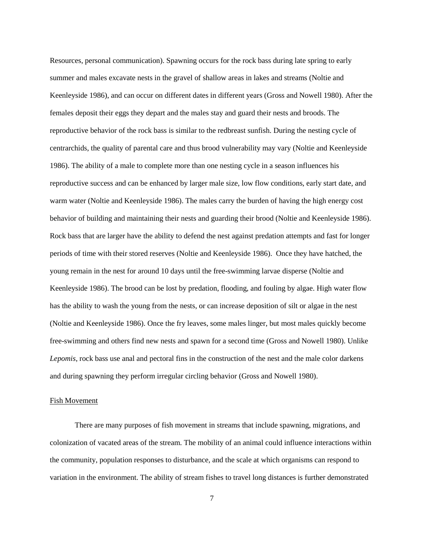Resources, personal communication). Spawning occurs for the rock bass during late spring to early summer and males excavate nests in the gravel of shallow areas in lakes and streams (Noltie and Keenleyside 1986), and can occur on different dates in different years (Gross and Nowell 1980). After the females deposit their eggs they depart and the males stay and guard their nests and broods. The reproductive behavior of the rock bass is similar to the redbreast sunfish. During the nesting cycle of centrarchids, the quality of parental care and thus brood vulnerability may vary (Noltie and Keenleyside 1986). The ability of a male to complete more than one nesting cycle in a season influences his reproductive success and can be enhanced by larger male size, low flow conditions, early start date, and warm water (Noltie and Keenleyside 1986). The males carry the burden of having the high energy cost behavior of building and maintaining their nests and guarding their brood (Noltie and Keenleyside 1986). Rock bass that are larger have the ability to defend the nest against predation attempts and fast for longer periods of time with their stored reserves (Noltie and Keenleyside 1986). Once they have hatched, the young remain in the nest for around 10 days until the free-swimming larvae disperse (Noltie and Keenleyside 1986). The brood can be lost by predation, flooding, and fouling by algae. High water flow has the ability to wash the young from the nests, or can increase deposition of silt or algae in the nest (Noltie and Keenleyside 1986). Once the fry leaves, some males linger, but most males quickly become free-swimming and others find new nests and spawn for a second time (Gross and Nowell 1980). Unlike *Lepomis*, rock bass use anal and pectoral fins in the construction of the nest and the male color darkens and during spawning they perform irregular circling behavior (Gross and Nowell 1980).

#### Fish Movement

There are many purposes of fish movement in streams that include spawning, migrations, and colonization of vacated areas of the stream. The mobility of an animal could influence interactions within the community, population responses to disturbance, and the scale at which organisms can respond to variation in the environment. The ability of stream fishes to travel long distances is further demonstrated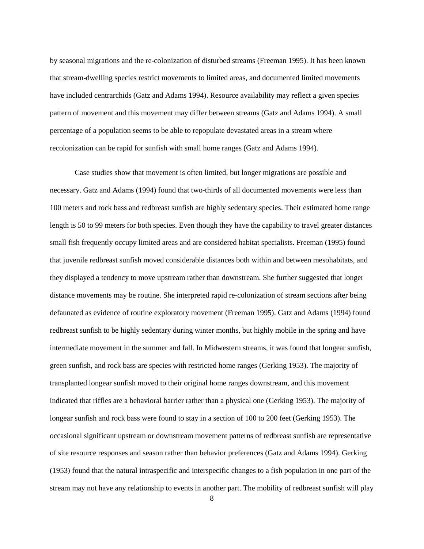by seasonal migrations and the re-colonization of disturbed streams (Freeman 1995). It has been known that stream-dwelling species restrict movements to limited areas, and documented limited movements have included centrarchids (Gatz and Adams 1994). Resource availability may reflect a given species pattern of movement and this movement may differ between streams (Gatz and Adams 1994). A small percentage of a population seems to be able to repopulate devastated areas in a stream where recolonization can be rapid for sunfish with small home ranges (Gatz and Adams 1994).

Case studies show that movement is often limited, but longer migrations are possible and necessary. Gatz and Adams (1994) found that two-thirds of all documented movements were less than 100 meters and rock bass and redbreast sunfish are highly sedentary species. Their estimated home range length is 50 to 99 meters for both species. Even though they have the capability to travel greater distances small fish frequently occupy limited areas and are considered habitat specialists. Freeman (1995) found that juvenile redbreast sunfish moved considerable distances both within and between mesohabitats, and they displayed a tendency to move upstream rather than downstream. She further suggested that longer distance movements may be routine. She interpreted rapid re-colonization of stream sections after being defaunated as evidence of routine exploratory movement (Freeman 1995). Gatz and Adams (1994) found redbreast sunfish to be highly sedentary during winter months, but highly mobile in the spring and have intermediate movement in the summer and fall. In Midwestern streams, it was found that longear sunfish, green sunfish, and rock bass are species with restricted home ranges (Gerking 1953). The majority of transplanted longear sunfish moved to their original home ranges downstream, and this movement indicated that riffles are a behavioral barrier rather than a physical one (Gerking 1953). The majority of longear sunfish and rock bass were found to stay in a section of 100 to 200 feet (Gerking 1953). The occasional significant upstream or downstream movement patterns of redbreast sunfish are representative of site resource responses and season rather than behavior preferences (Gatz and Adams 1994). Gerking (1953) found that the natural intraspecific and interspecific changes to a fish population in one part of the stream may not have any relationship to events in another part. The mobility of redbreast sunfish will play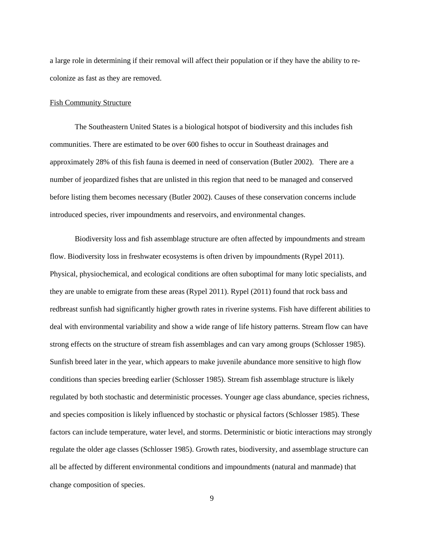a large role in determining if their removal will affect their population or if they have the ability to recolonize as fast as they are removed.

#### Fish Community Structure

The Southeastern United States is a biological hotspot of biodiversity and this includes fish communities. There are estimated to be over 600 fishes to occur in Southeast drainages and approximately 28% of this fish fauna is deemed in need of conservation (Butler 2002). There are a number of jeopardized fishes that are unlisted in this region that need to be managed and conserved before listing them becomes necessary (Butler 2002). Causes of these conservation concerns include introduced species, river impoundments and reservoirs, and environmental changes.

Biodiversity loss and fish assemblage structure are often affected by impoundments and stream flow. Biodiversity loss in freshwater ecosystems is often driven by impoundments (Rypel 2011). Physical, physiochemical, and ecological conditions are often suboptimal for many lotic specialists, and they are unable to emigrate from these areas (Rypel 2011). Rypel (2011) found that rock bass and redbreast sunfish had significantly higher growth rates in riverine systems. Fish have different abilities to deal with environmental variability and show a wide range of life history patterns. Stream flow can have strong effects on the structure of stream fish assemblages and can vary among groups (Schlosser 1985). Sunfish breed later in the year, which appears to make juvenile abundance more sensitive to high flow conditions than species breeding earlier (Schlosser 1985). Stream fish assemblage structure is likely regulated by both stochastic and deterministic processes. Younger age class abundance, species richness, and species composition is likely influenced by stochastic or physical factors (Schlosser 1985). These factors can include temperature, water level, and storms. Deterministic or biotic interactions may strongly regulate the older age classes (Schlosser 1985). Growth rates, biodiversity, and assemblage structure can all be affected by different environmental conditions and impoundments (natural and manmade) that change composition of species.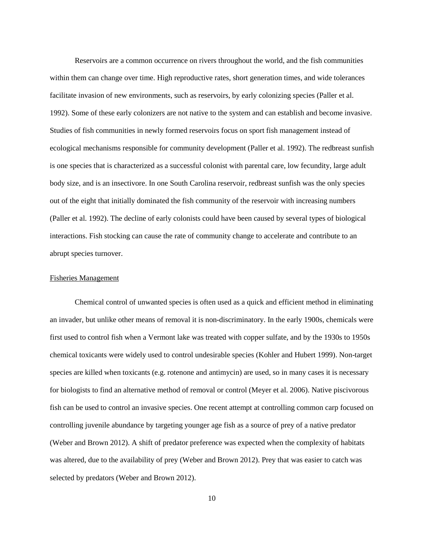Reservoirs are a common occurrence on rivers throughout the world, and the fish communities within them can change over time. High reproductive rates, short generation times, and wide tolerances facilitate invasion of new environments, such as reservoirs, by early colonizing species (Paller et al. 1992). Some of these early colonizers are not native to the system and can establish and become invasive. Studies of fish communities in newly formed reservoirs focus on sport fish management instead of ecological mechanisms responsible for community development (Paller et al. 1992). The redbreast sunfish is one species that is characterized as a successful colonist with parental care, low fecundity, large adult body size, and is an insectivore. In one South Carolina reservoir, redbreast sunfish was the only species out of the eight that initially dominated the fish community of the reservoir with increasing numbers (Paller et al. 1992). The decline of early colonists could have been caused by several types of biological interactions. Fish stocking can cause the rate of community change to accelerate and contribute to an abrupt species turnover.

#### Fisheries Management

Chemical control of unwanted species is often used as a quick and efficient method in eliminating an invader, but unlike other means of removal it is non-discriminatory. In the early 1900s, chemicals were first used to control fish when a Vermont lake was treated with copper sulfate, and by the 1930s to 1950s chemical toxicants were widely used to control undesirable species (Kohler and Hubert 1999). Non-target species are killed when toxicants (e.g. rotenone and antimycin) are used, so in many cases it is necessary for biologists to find an alternative method of removal or control (Meyer et al. 2006). Native piscivorous fish can be used to control an invasive species. One recent attempt at controlling common carp focused on controlling juvenile abundance by targeting younger age fish as a source of prey of a native predator (Weber and Brown 2012). A shift of predator preference was expected when the complexity of habitats was altered, due to the availability of prey (Weber and Brown 2012). Prey that was easier to catch was selected by predators (Weber and Brown 2012).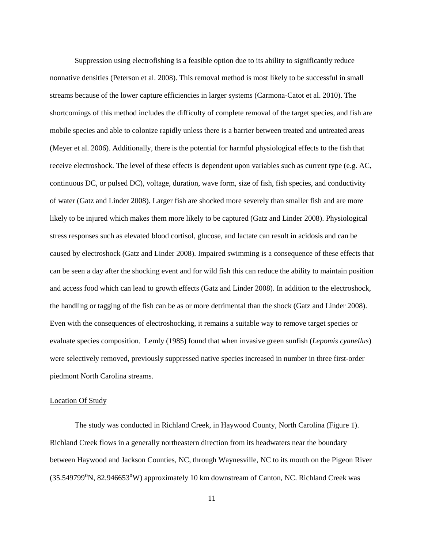Suppression using electrofishing is a feasible option due to its ability to significantly reduce nonnative densities (Peterson et al. 2008). This removal method is most likely to be successful in small streams because of the lower capture efficiencies in larger systems (Carmona-Catot et al. 2010). The shortcomings of this method includes the difficulty of complete removal of the target species, and fish are mobile species and able to colonize rapidly unless there is a barrier between treated and untreated areas (Meyer et al. 2006). Additionally, there is the potential for harmful physiological effects to the fish that receive electroshock. The level of these effects is dependent upon variables such as current type (e.g. AC, continuous DC, or pulsed DC), voltage, duration, wave form, size of fish, fish species, and conductivity of water (Gatz and Linder 2008). Larger fish are shocked more severely than smaller fish and are more likely to be injured which makes them more likely to be captured (Gatz and Linder 2008). Physiological stress responses such as elevated blood cortisol, glucose, and lactate can result in acidosis and can be caused by electroshock (Gatz and Linder 2008). Impaired swimming is a consequence of these effects that can be seen a day after the shocking event and for wild fish this can reduce the ability to maintain position and access food which can lead to growth effects (Gatz and Linder 2008). In addition to the electroshock, the handling or tagging of the fish can be as or more detrimental than the shock (Gatz and Linder 2008). Even with the consequences of electroshocking, it remains a suitable way to remove target species or evaluate species composition. Lemly (1985) found that when invasive green sunfish (*Lepomis cyanellus*) were selectively removed, previously suppressed native species increased in number in three first-order piedmont North Carolina streams.

#### Location Of Study

The study was conducted in Richland Creek, in Haywood County, North Carolina (Figure 1). Richland Creek flows in a generally northeastern direction from its headwaters near the boundary between Haywood and Jackson Counties, NC, through Waynesville, NC to its mouth on the Pigeon River  $(35.549799^0N, 82.946653^0W)$  approximately 10 km downstream of Canton, NC. Richland Creek was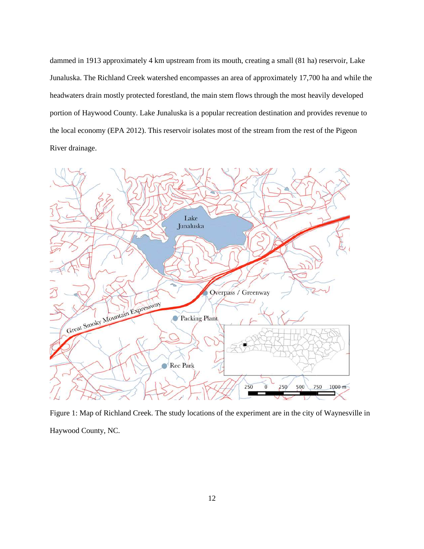dammed in 1913 approximately 4 km upstream from its mouth, creating a small (81 ha) reservoir, Lake Junaluska. The Richland Creek watershed encompasses an area of approximately 17,700 ha and while the headwaters drain mostly protected forestland, the main stem flows through the most heavily developed portion of Haywood County. Lake Junaluska is a popular recreation destination and provides revenue to the local economy (EPA 2012). This reservoir isolates most of the stream from the rest of the Pigeon River drainage.



Figure 1: Map of Richland Creek. The study locations of the experiment are in the city of Waynesville in Haywood County, NC.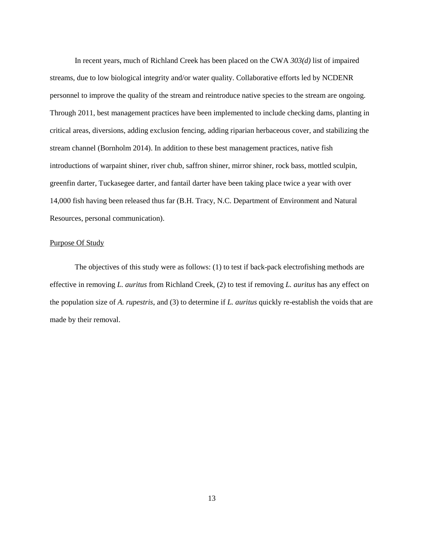In recent years, much of Richland Creek has been placed on the CWA *303(d)* list of impaired streams, due to low biological integrity and/or water quality. Collaborative efforts led by NCDENR personnel to improve the quality of the stream and reintroduce native species to the stream are ongoing. Through 2011, best management practices have been implemented to include checking dams, planting in critical areas, diversions, adding exclusion fencing, adding riparian herbaceous cover, and stabilizing the stream channel (Bornholm 2014). In addition to these best management practices, native fish introductions of warpaint shiner, river chub, saffron shiner, mirror shiner, rock bass, mottled sculpin, greenfin darter, Tuckasegee darter, and fantail darter have been taking place twice a year with over 14,000 fish having been released thus far (B.H. Tracy, N.C. Department of Environment and Natural Resources, personal communication).

#### Purpose Of Study

The objectives of this study were as follows: (1) to test if back-pack electrofishing methods are effective in removing *L. auritus* from Richland Creek, (2) to test if removing *L. auritus* has any effect on the population size of *A. rupestris*, and (3) to determine if *L. auritus* quickly re-establish the voids that are made by their removal.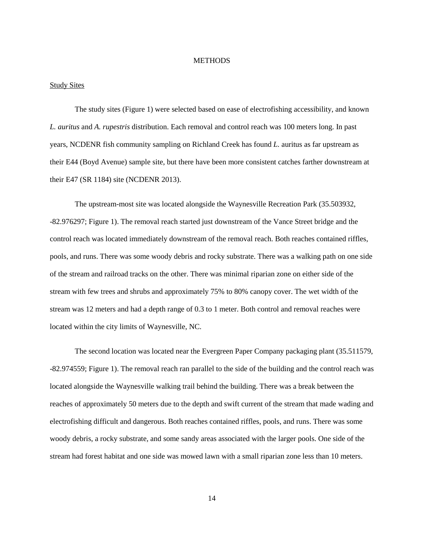#### **METHODS**

#### Study Sites

The study sites (Figure 1) were selected based on ease of electrofishing accessibility, and known *L. auritus* and *A. rupestris* distribution. Each removal and control reach was 100 meters long. In past years, NCDENR fish community sampling on Richland Creek has found *L.* auritus as far upstream as their E44 (Boyd Avenue) sample site, but there have been more consistent catches farther downstream at their E47 (SR 1184) site (NCDENR 2013).

The upstream-most site was located alongside the Waynesville Recreation Park (35.503932, -82.976297; Figure 1). The removal reach started just downstream of the Vance Street bridge and the control reach was located immediately downstream of the removal reach. Both reaches contained riffles, pools, and runs. There was some woody debris and rocky substrate. There was a walking path on one side of the stream and railroad tracks on the other. There was minimal riparian zone on either side of the stream with few trees and shrubs and approximately 75% to 80% canopy cover. The wet width of the stream was 12 meters and had a depth range of 0.3 to 1 meter. Both control and removal reaches were located within the city limits of Waynesville, NC.

The second location was located near the Evergreen Paper Company packaging plant (35.511579, -82.974559; Figure 1). The removal reach ran parallel to the side of the building and the control reach was located alongside the Waynesville walking trail behind the building. There was a break between the reaches of approximately 50 meters due to the depth and swift current of the stream that made wading and electrofishing difficult and dangerous. Both reaches contained riffles, pools, and runs. There was some woody debris, a rocky substrate, and some sandy areas associated with the larger pools. One side of the stream had forest habitat and one side was mowed lawn with a small riparian zone less than 10 meters.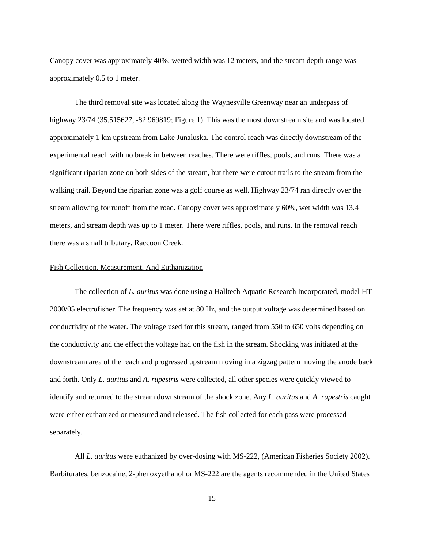Canopy cover was approximately 40%, wetted width was 12 meters, and the stream depth range was approximately 0.5 to 1 meter.

The third removal site was located along the Waynesville Greenway near an underpass of highway 23/74 (35.515627, -82.969819; Figure 1). This was the most downstream site and was located approximately 1 km upstream from Lake Junaluska. The control reach was directly downstream of the experimental reach with no break in between reaches. There were riffles, pools, and runs. There was a significant riparian zone on both sides of the stream, but there were cutout trails to the stream from the walking trail. Beyond the riparian zone was a golf course as well. Highway 23/74 ran directly over the stream allowing for runoff from the road. Canopy cover was approximately 60%, wet width was 13.4 meters, and stream depth was up to 1 meter. There were riffles, pools, and runs. In the removal reach there was a small tributary, Raccoon Creek.

#### Fish Collection, Measurement, And Euthanization

The collection of *L. auritus* was done using a Halltech Aquatic Research Incorporated, model HT 2000/05 electrofisher. The frequency was set at 80 Hz, and the output voltage was determined based on conductivity of the water. The voltage used for this stream, ranged from 550 to 650 volts depending on the conductivity and the effect the voltage had on the fish in the stream. Shocking was initiated at the downstream area of the reach and progressed upstream moving in a zigzag pattern moving the anode back and forth. Only *L. auritus* and *A. rupestris* were collected, all other species were quickly viewed to identify and returned to the stream downstream of the shock zone. Any *L. auritus* and *A. rupestris* caught were either euthanized or measured and released. The fish collected for each pass were processed separately.

All *L. auritus* were euthanized by over-dosing with MS-222, (American Fisheries Society 2002). Barbiturates, benzocaine, 2-phenoxyethanol or MS-222 are the agents recommended in the United States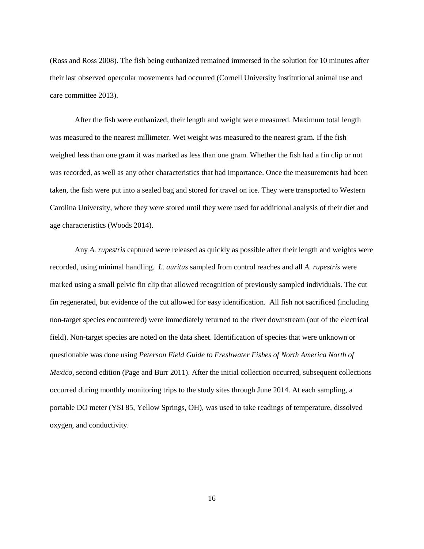(Ross and Ross 2008). The fish being euthanized remained immersed in the solution for 10 minutes after their last observed opercular movements had occurred (Cornell University institutional animal use and care committee 2013).

After the fish were euthanized, their length and weight were measured. Maximum total length was measured to the nearest millimeter. Wet weight was measured to the nearest gram. If the fish weighed less than one gram it was marked as less than one gram. Whether the fish had a fin clip or not was recorded, as well as any other characteristics that had importance. Once the measurements had been taken, the fish were put into a sealed bag and stored for travel on ice. They were transported to Western Carolina University, where they were stored until they were used for additional analysis of their diet and age characteristics (Woods 2014).

Any *A. rupestris* captured were released as quickly as possible after their length and weights were recorded, using minimal handling. *L. auritus* sampled from control reaches and all *A. rupestris* were marked using a small pelvic fin clip that allowed recognition of previously sampled individuals. The cut fin regenerated, but evidence of the cut allowed for easy identification. All fish not sacrificed (including non-target species encountered) were immediately returned to the river downstream (out of the electrical field). Non-target species are noted on the data sheet. Identification of species that were unknown or questionable was done using *Peterson Field Guide to Freshwater Fishes of North America North of Mexico*, second edition (Page and Burr 2011). After the initial collection occurred, subsequent collections occurred during monthly monitoring trips to the study sites through June 2014. At each sampling, a portable DO meter (YSI 85, Yellow Springs, OH), was used to take readings of temperature, dissolved oxygen, and conductivity.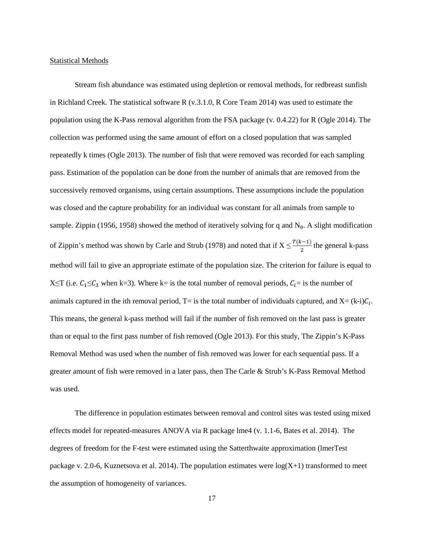#### **Statistical Methods**

Stream fish abundance was estimated using depletion or removal methods, for redbreast sunfish in Richland Creek. The statistical software R (v.3.1.0, R Core Team 2014) was used to estimate the population using the K-Pass removal algorithm from the FSA package (v. 0.4.22) for R (Ogle 2014). The collection was performed using the same amount of effort on a closed population that was sampled repeatedly k times (Ogle 2013). The number of fish that were removed was recorded for each sampling pass. Estimation of the population can be done from the number of animals that are removed from the successively removed organisms, using certain assumptions. These assumptions include the population was closed and the capture probability for an individual was constant for all animals from sample to sample. Zippin (1956, 1958) showed the method of iteratively solving for q and  $N_0$ . A slight modification of Zippin's method was shown by Carle and Strub (1978) and noted that if  $X \leq \frac{T(k-1)}{2}$  $\frac{x-1}{2}$  the general k-pass method will fail to give an appropriate estimate of the population size. The criterion for failure is equal to X  $\leq$ T (i.e.  $C_1 \leq C_3$  when k=3). Where k= is the total number of removal periods,  $C_i$ = is the number of animals captured in the ith removal period,  $T =$  is the total number of individuals captured, and  $X = (k-i)\mathcal{C}_i$ . This means, the general k-pass method will fail if the number of fish removed on the last pass is greater than or equal to the first pass number of fish removed (Ogle 2013). For this study, The Zippin's K-Pass Removal Method was used when the number of fish removed was lower for each sequential pass. If a greater amount of fish were removed in a later pass, then The Carle & Strub's K-Pass Removal Method was used.

The difference in population estimates between removal and control sites was tested using mixed effects model for repeated-measures ANOVA via R package lme4 (v. 1.1-6, Bates et al. 2014). The degrees of freedom for the F-test were estimated using the Satterthwaite approximation (lmerTest package v. 2.0-6, Kuznetsova et al. 2014). The population estimates were  $log(X+1)$  transformed to meet the assumption of homogeneity of variances.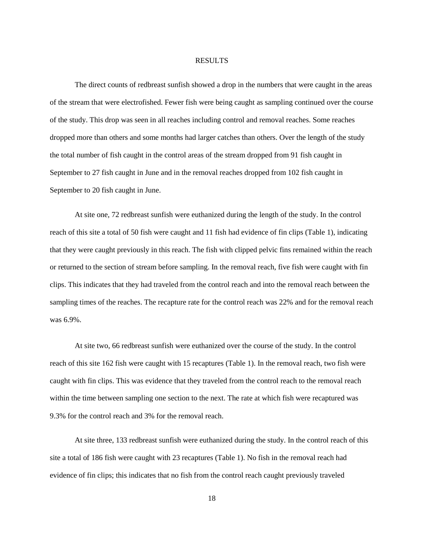#### RESULTS

The direct counts of redbreast sunfish showed a drop in the numbers that were caught in the areas of the stream that were electrofished. Fewer fish were being caught as sampling continued over the course of the study. This drop was seen in all reaches including control and removal reaches. Some reaches dropped more than others and some months had larger catches than others. Over the length of the study the total number of fish caught in the control areas of the stream dropped from 91 fish caught in September to 27 fish caught in June and in the removal reaches dropped from 102 fish caught in September to 20 fish caught in June.

At site one, 72 redbreast sunfish were euthanized during the length of the study. In the control reach of this site a total of 50 fish were caught and 11 fish had evidence of fin clips (Table 1), indicating that they were caught previously in this reach. The fish with clipped pelvic fins remained within the reach or returned to the section of stream before sampling. In the removal reach, five fish were caught with fin clips. This indicates that they had traveled from the control reach and into the removal reach between the sampling times of the reaches. The recapture rate for the control reach was 22% and for the removal reach was 6.9%.

At site two, 66 redbreast sunfish were euthanized over the course of the study. In the control reach of this site 162 fish were caught with 15 recaptures (Table 1). In the removal reach, two fish were caught with fin clips. This was evidence that they traveled from the control reach to the removal reach within the time between sampling one section to the next. The rate at which fish were recaptured was 9.3% for the control reach and 3% for the removal reach.

At site three, 133 redbreast sunfish were euthanized during the study. In the control reach of this site a total of 186 fish were caught with 23 recaptures (Table 1). No fish in the removal reach had evidence of fin clips; this indicates that no fish from the control reach caught previously traveled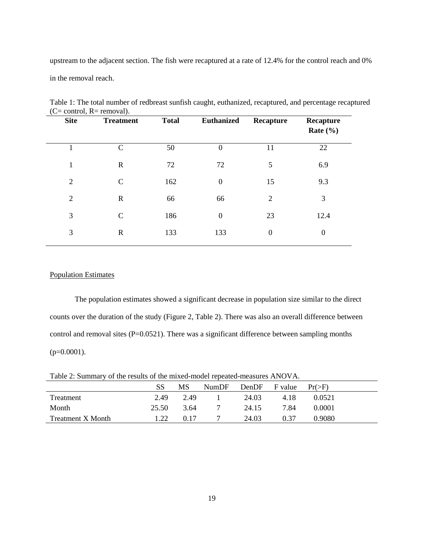upstream to the adjacent section. The fish were recaptured at a rate of 12.4% for the control reach and 0% in the removal reach.

| $\sim$<br><b>Site</b> | $\overline{\phantom{a}}$<br><b>Treatment</b> | <b>Total</b> | <b>Euthanized</b> | Recapture        | Recapture<br>Rate $(\% )$ |
|-----------------------|----------------------------------------------|--------------|-------------------|------------------|---------------------------|
|                       | $\mathcal{C}$                                | 50           | $\boldsymbol{0}$  | 11               | 22                        |
| 1                     | $\mathbf R$                                  | 72           | 72                | 5                | 6.9                       |
| $\overline{2}$        | $\mathcal{C}$                                | 162          | $\boldsymbol{0}$  | 15               | 9.3                       |
| $\overline{2}$        | $\mathbb{R}$                                 | 66           | 66                | $\overline{2}$   | 3                         |
| 3                     | $\mathsf{C}$                                 | 186          | $\boldsymbol{0}$  | 23               | 12.4                      |
| 3                     | $\mathbb{R}$                                 | 133          | 133               | $\boldsymbol{0}$ | $\boldsymbol{0}$          |
|                       |                                              |              |                   |                  |                           |

Table 1: The total number of redbreast sunfish caught, euthanized, recaptured, and percentage recaptured  $(C= control, R= removal).$ 

## Population Estimates

The population estimates showed a significant decrease in population size similar to the direct counts over the duration of the study (Figure 2, Table 2). There was also an overall difference between control and removal sites (P=0.0521). There was a significant difference between sampling months  $(p=0.0001)$ .

Table 2: Summary of the results of the mixed-model repeated-measures ANOVA.

|                          | SS    | MS   | NumDF | DenDF F value |      | $Pr(>=F)$ |  |
|--------------------------|-------|------|-------|---------------|------|-----------|--|
| Treatment                | 2.49  | 2.49 |       | 24.03         | 4.18 | 0.0521    |  |
| Month                    | 25.50 | 3.64 |       | 24.15         | 7.84 | 0.0001    |  |
| <b>Treatment X Month</b> | 1.22  | 0.17 |       | 24.03         | 0.37 | 0.9080    |  |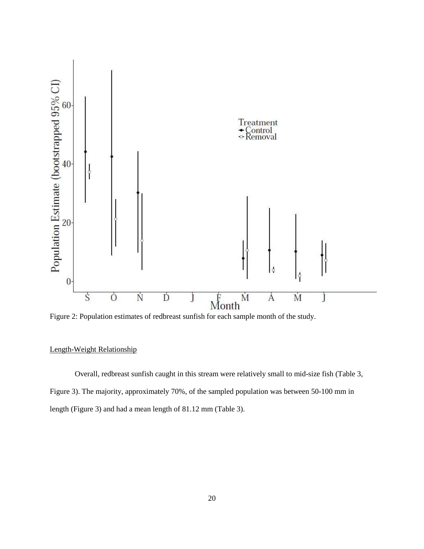

Figure 2: Population estimates of redbreast sunfish for each sample month of the study.

## Length-Weight Relationship

Overall, redbreast sunfish caught in this stream were relatively small to mid-size fish Figure 3). The majority, approximately 70%, of the sampled population was between 50 length (Figure 3) and had a mean length of 81.12 mm (Table 3). 1, redbreast sunfish caught in this stream were relatively small to mid-size fish (Table 3, majority, approximately 70%, of the sampled population was between 50-100 mm in 3) and had a mean length of 81.12 mm (Table 3). between 50-100 mm in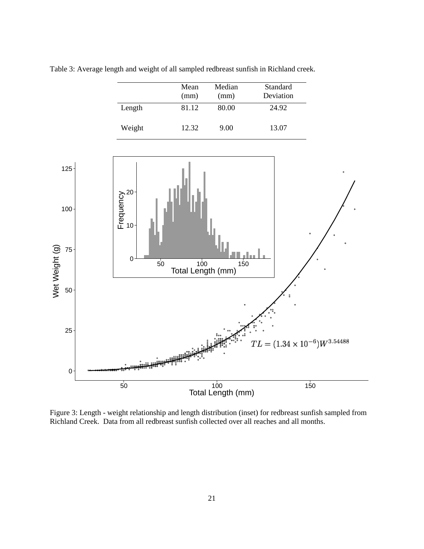|        | Mean<br>(mm) | Median<br>(mm) | Standard<br>Deviation |
|--------|--------------|----------------|-----------------------|
| Length | 81.12        | 80.00          | 24.92                 |
| Weight | 12.32        | 9.00           | 13.07                 |

Table 3: Average length and weight of all sampled redbreast sunfish in Richland creek.



Figure 3: Length - weight relationship and length distribution (inset) for redbreast sunfish sampled from Richland Creek. Data from all redbreast sunfish collected over all reaches and all months.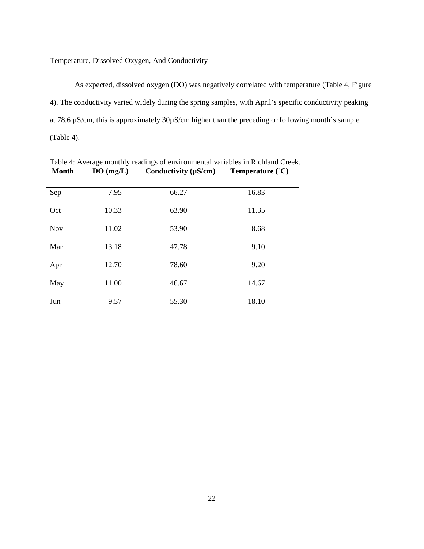## Temperature, Dissolved Oxygen, And Conductivity

As expected, dissolved oxygen (DO) was negatively correlated with temperature (Table 4, Figure 4). The conductivity varied widely during the spring samples, with April's specific conductivity peaking at 78.6 µS/cm, this is approximately 30µS/cm higher than the preceding or following month's sample (Table 4).

| Month      | $DU$ (mg/L) | Conquetivity (µS/cm) | $I$ emperature $(U)$ |  |
|------------|-------------|----------------------|----------------------|--|
| Sep        | 7.95        | 66.27                | 16.83                |  |
| Oct        | 10.33       | 63.90                | 11.35                |  |
| <b>Nov</b> | 11.02       | 53.90                | 8.68                 |  |
| Mar        | 13.18       | 47.78                | 9.10                 |  |
| Apr        | 12.70       | 78.60                | 9.20                 |  |
| May        | 11.00       | 46.67                | 14.67                |  |
| Jun        | 9.57        | 55.30                | 18.10                |  |
|            |             |                      |                      |  |

Table 4: Average monthly readings of environmental variables in Richland Creek. **Month DO (mg/L) Conductivity (µS/cm) Temperature (˚C)**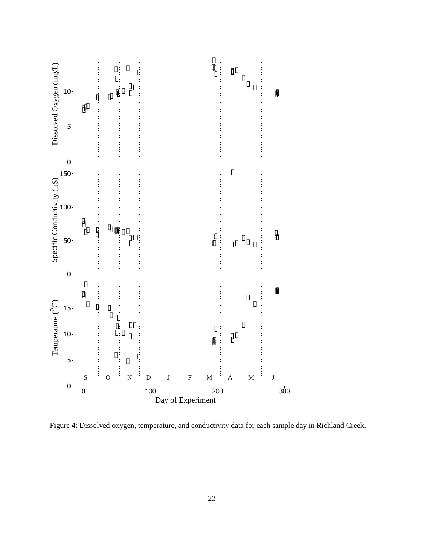

Figure 4: Dissolved oxygen, temperature, and conductivity data for each sample day in Richland Creek.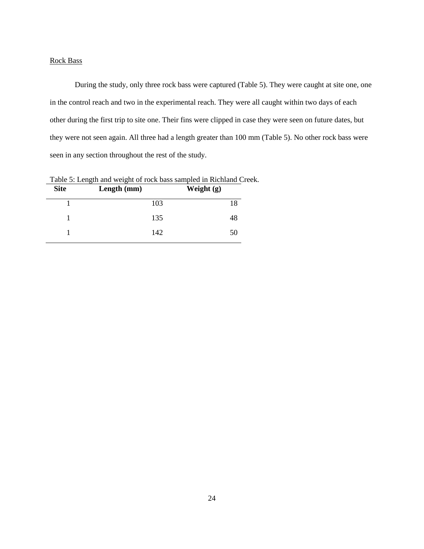#### Rock Bass

During the study, only three rock bass were captured (Table 5). They were caught at site one, one in the control reach and two in the experimental reach. They were all caught within two days of each other during the first trip to site one. Their fins were clipped in case they were seen on future dates, but they were not seen again. All three had a length greater than 100 mm (Table 5). No other rock bass were seen in any section throughout the rest of the study.

| <b>Site</b> | Length (mm) | Weight $(g)$ |
|-------------|-------------|--------------|
|             | 103         | 18           |
|             | 135         | 48           |
|             | 142         | 50           |

Table 5: Length and weight of rock bass sampled in Richland Creek.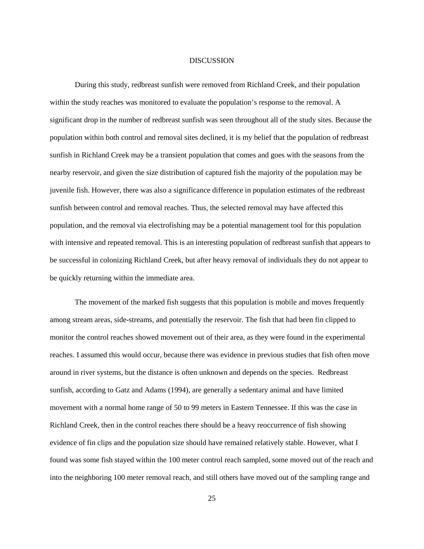#### DISCUSSION

During this study, redbreast sunfish were removed from Richland Creek, and their population within the study reaches was monitored to evaluate the population's response to the removal. A significant drop in the number of redbreast sunfish was seen throughout all of the study sites. Because the population within both control and removal sites declined, it is my belief that the population of redbreast sunfish in Richland Creek may be a transient population that comes and goes with the seasons from the nearby reservoir, and given the size distribution of captured fish the majority of the population may be juvenile fish. However, there was also a significance difference in population estimates of the redbreast sunfish between control and removal reaches. Thus, the selected removal may have affected this population, and the removal via electrofishing may be a potential management tool for this population with intensive and repeated removal. This is an interesting population of redbreast sunfish that appears to be successful in colonizing Richland Creek, but after heavy removal of individuals they do not appear to be quickly returning within the immediate area.

The movement of the marked fish suggests that this population is mobile and moves frequently among stream areas, side-streams, and potentially the reservoir. The fish that had been fin clipped to monitor the control reaches showed movement out of their area, as they were found in the experimental reaches. I assumed this would occur, because there was evidence in previous studies that fish often move around in river systems, but the distance is often unknown and depends on the species. Redbreast sunfish, according to Gatz and Adams (1994), are generally a sedentary animal and have limited movement with a normal home range of 50 to 99 meters in Eastern Tennessee. If this was the case in Richland Creek, then in the control reaches there should be a heavy reoccurrence of fish showing evidence of fin clips and the population size should have remained relatively stable. However, what I found was some fish stayed within the 100 meter control reach sampled, some moved out of the reach and into the neighboring 100 meter removal reach, and still others have moved out of the sampling range and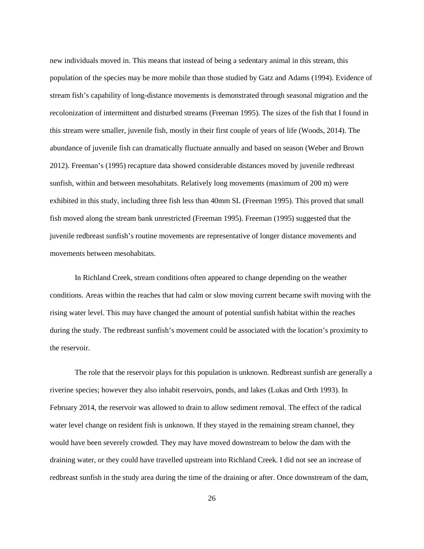new individuals moved in. This means that instead of being a sedentary animal in this stream, this population of the species may be more mobile than those studied by Gatz and Adams (1994). Evidence of stream fish's capability of long-distance movements is demonstrated through seasonal migration and the recolonization of intermittent and disturbed streams (Freeman 1995). The sizes of the fish that I found in this stream were smaller, juvenile fish, mostly in their first couple of years of life (Woods, 2014). The abundance of juvenile fish can dramatically fluctuate annually and based on season (Weber and Brown 2012). Freeman's (1995) recapture data showed considerable distances moved by juvenile redbreast sunfish, within and between mesohabitats. Relatively long movements (maximum of 200 m) were exhibited in this study, including three fish less than 40mm SL (Freeman 1995). This proved that small fish moved along the stream bank unrestricted (Freeman 1995). Freeman (1995) suggested that the juvenile redbreast sunfish's routine movements are representative of longer distance movements and movements between mesohabitats.

In Richland Creek, stream conditions often appeared to change depending on the weather conditions. Areas within the reaches that had calm or slow moving current became swift moving with the rising water level. This may have changed the amount of potential sunfish habitat within the reaches during the study. The redbreast sunfish's movement could be associated with the location's proximity to the reservoir.

The role that the reservoir plays for this population is unknown. Redbreast sunfish are generally a riverine species; however they also inhabit reservoirs, ponds, and lakes (Lukas and Orth 1993). In February 2014, the reservoir was allowed to drain to allow sediment removal. The effect of the radical water level change on resident fish is unknown. If they stayed in the remaining stream channel, they would have been severely crowded. They may have moved downstream to below the dam with the draining water, or they could have travelled upstream into Richland Creek. I did not see an increase of redbreast sunfish in the study area during the time of the draining or after. Once downstream of the dam,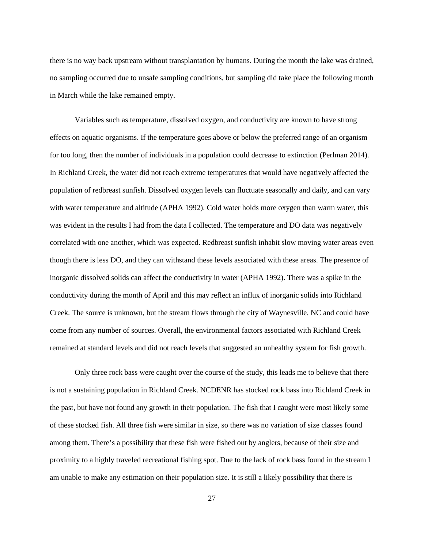there is no way back upstream without transplantation by humans. During the month the lake was drained, no sampling occurred due to unsafe sampling conditions, but sampling did take place the following month in March while the lake remained empty.

Variables such as temperature, dissolved oxygen, and conductivity are known to have strong effects on aquatic organisms. If the temperature goes above or below the preferred range of an organism for too long, then the number of individuals in a population could decrease to extinction (Perlman 2014). In Richland Creek, the water did not reach extreme temperatures that would have negatively affected the population of redbreast sunfish. Dissolved oxygen levels can fluctuate seasonally and daily, and can vary with water temperature and altitude (APHA 1992). Cold water holds more oxygen than warm water, this was evident in the results I had from the data I collected. The temperature and DO data was negatively correlated with one another, which was expected. Redbreast sunfish inhabit slow moving water areas even though there is less DO, and they can withstand these levels associated with these areas. The presence of inorganic dissolved solids can affect the conductivity in water (APHA 1992). There was a spike in the conductivity during the month of April and this may reflect an influx of inorganic solids into Richland Creek. The source is unknown, but the stream flows through the city of Waynesville, NC and could have come from any number of sources. Overall, the environmental factors associated with Richland Creek remained at standard levels and did not reach levels that suggested an unhealthy system for fish growth.

Only three rock bass were caught over the course of the study, this leads me to believe that there is not a sustaining population in Richland Creek. NCDENR has stocked rock bass into Richland Creek in the past, but have not found any growth in their population. The fish that I caught were most likely some of these stocked fish. All three fish were similar in size, so there was no variation of size classes found among them. There's a possibility that these fish were fished out by anglers, because of their size and proximity to a highly traveled recreational fishing spot. Due to the lack of rock bass found in the stream I am unable to make any estimation on their population size. It is still a likely possibility that there is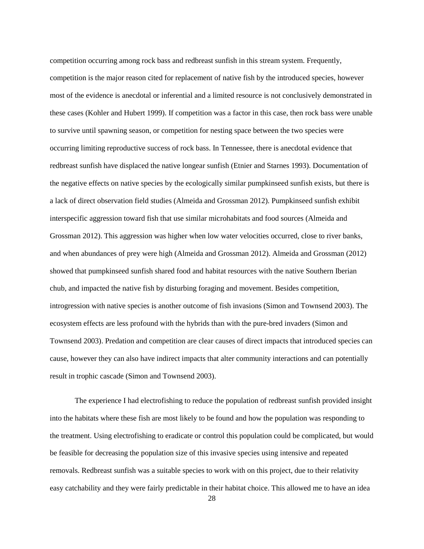competition occurring among rock bass and redbreast sunfish in this stream system. Frequently, competition is the major reason cited for replacement of native fish by the introduced species, however most of the evidence is anecdotal or inferential and a limited resource is not conclusively demonstrated in these cases (Kohler and Hubert 1999). If competition was a factor in this case, then rock bass were unable to survive until spawning season, or competition for nesting space between the two species were occurring limiting reproductive success of rock bass. In Tennessee, there is anecdotal evidence that redbreast sunfish have displaced the native longear sunfish (Etnier and Starnes 1993). Documentation of the negative effects on native species by the ecologically similar pumpkinseed sunfish exists, but there is a lack of direct observation field studies (Almeida and Grossman 2012). Pumpkinseed sunfish exhibit interspecific aggression toward fish that use similar microhabitats and food sources (Almeida and Grossman 2012). This aggression was higher when low water velocities occurred, close to river banks, and when abundances of prey were high (Almeida and Grossman 2012). Almeida and Grossman (2012) showed that pumpkinseed sunfish shared food and habitat resources with the native Southern Iberian chub, and impacted the native fish by disturbing foraging and movement. Besides competition, introgression with native species is another outcome of fish invasions (Simon and Townsend 2003). The ecosystem effects are less profound with the hybrids than with the pure-bred invaders (Simon and Townsend 2003). Predation and competition are clear causes of direct impacts that introduced species can cause, however they can also have indirect impacts that alter community interactions and can potentially result in trophic cascade (Simon and Townsend 2003).

 The experience I had electrofishing to reduce the population of redbreast sunfish provided insight into the habitats where these fish are most likely to be found and how the population was responding to the treatment. Using electrofishing to eradicate or control this population could be complicated, but would be feasible for decreasing the population size of this invasive species using intensive and repeated removals. Redbreast sunfish was a suitable species to work with on this project, due to their relativity easy catchability and they were fairly predictable in their habitat choice. This allowed me to have an idea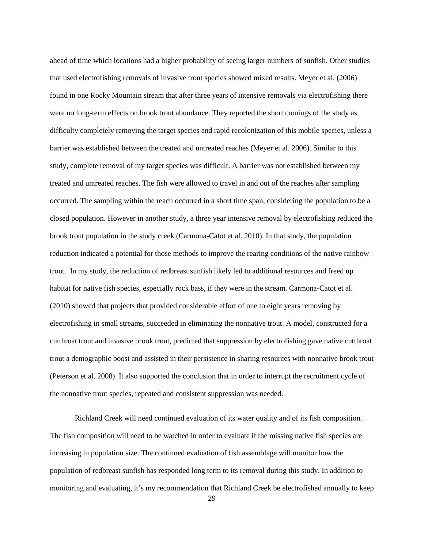ahead of time which locations had a higher probability of seeing larger numbers of sunfish. Other studies that used electrofishing removals of invasive trout species showed mixed results. Meyer et al. (2006) found in one Rocky Mountain stream that after three years of intensive removals via electrofishing there were no long-term effects on brook trout abundance. They reported the short comings of the study as difficulty completely removing the target species and rapid recolonization of this mobile species, unless a barrier was established between the treated and untreated reaches (Meyer et al. 2006). Similar to this study, complete removal of my target species was difficult. A barrier was not established between my treated and untreated reaches. The fish were allowed to travel in and out of the reaches after sampling occurred. The sampling within the reach occurred in a short time span, considering the population to be a closed population. However in another study, a three year intensive removal by electrofishing reduced the brook trout population in the study creek (Carmona-Catot et al. 2010). In that study, the population reduction indicated a potential for those methods to improve the rearing conditions of the native rainbow trout. In my study, the reduction of redbreast sunfish likely led to additional resources and freed up habitat for native fish species, especially rock bass, if they were in the stream. Carmona-Catot et al. (2010) showed that projects that provided considerable effort of one to eight years removing by electrofishing in small streams, succeeded in eliminating the nonnative trout. A model, constructed for a cutthroat trout and invasive brook trout, predicted that suppression by electrofishing gave native cutthroat trout a demographic boost and assisted in their persistence in sharing resources with nonnative brook trout (Peterson et al. 2008). It also supported the conclusion that in order to interrupt the recruitment cycle of the nonnative trout species, repeated and consistent suppression was needed.

Richland Creek will need continued evaluation of its water quality and of its fish composition. The fish composition will need to be watched in order to evaluate if the missing native fish species are increasing in population size. The continued evaluation of fish assemblage will monitor how the population of redbreast sunfish has responded long term to its removal during this study. In addition to monitoring and evaluating, it's my recommendation that Richland Creek be electrofished annually to keep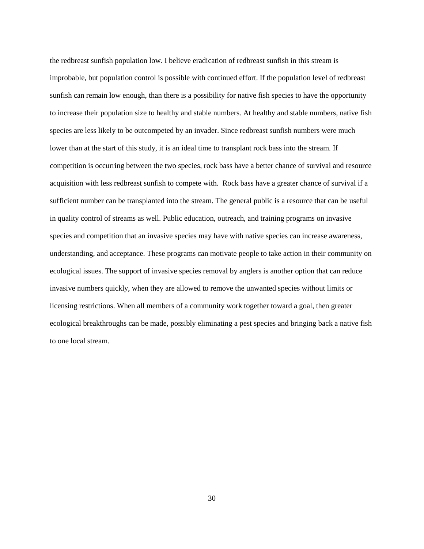the redbreast sunfish population low. I believe eradication of redbreast sunfish in this stream is improbable, but population control is possible with continued effort. If the population level of redbreast sunfish can remain low enough, than there is a possibility for native fish species to have the opportunity to increase their population size to healthy and stable numbers. At healthy and stable numbers, native fish species are less likely to be outcompeted by an invader. Since redbreast sunfish numbers were much lower than at the start of this study, it is an ideal time to transplant rock bass into the stream. If competition is occurring between the two species, rock bass have a better chance of survival and resource acquisition with less redbreast sunfish to compete with. Rock bass have a greater chance of survival if a sufficient number can be transplanted into the stream. The general public is a resource that can be useful in quality control of streams as well. Public education, outreach, and training programs on invasive species and competition that an invasive species may have with native species can increase awareness, understanding, and acceptance. These programs can motivate people to take action in their community on ecological issues. The support of invasive species removal by anglers is another option that can reduce invasive numbers quickly, when they are allowed to remove the unwanted species without limits or licensing restrictions. When all members of a community work together toward a goal, then greater ecological breakthroughs can be made, possibly eliminating a pest species and bringing back a native fish to one local stream.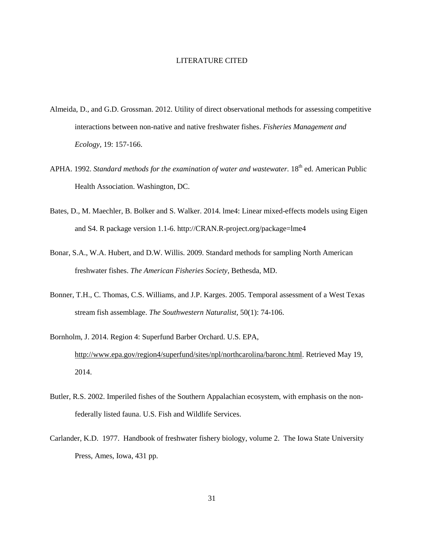#### LITERATURE CITED

- Almeida, D., and G.D. Grossman. 2012. Utility of direct observational methods for assessing competitive interactions between non-native and native freshwater fishes. *Fisheries Management and Ecology,* 19: 157-166.
- APHA. 1992. *Standard methods for the examination of water and wastewater*. 18<sup>th</sup> ed. American Public Health Association. Washington, DC.
- Bates, D., M. Maechler, B. Bolker and S. Walker. 2014. lme4: Linear mixed-effects models using Eigen and S4. R package version 1.1-6. http://CRAN.R-project.org/package=lme4
- Bonar, S.A., W.A. Hubert, and D.W. Willis. 2009. Standard methods for sampling North American freshwater fishes. *The American Fisheries Society*, Bethesda, MD.
- Bonner, T.H., C. Thomas, C.S. Williams, and J.P. Karges. 2005. Temporal assessment of a West Texas stream fish assemblage. *The Southwestern Naturalist,* 50(1): 74-106.
- Bornholm, J. 2014. Region 4: Superfund Barber Orchard. U.S. EPA, http://www.epa.gov/region4/superfund/sites/npl/northcarolina/baronc.html. Retrieved May 19, 2014.
- Butler, R.S. 2002. Imperiled fishes of the Southern Appalachian ecosystem, with emphasis on the nonfederally listed fauna. U.S. Fish and Wildlife Services.
- Carlander, K.D. 1977. Handbook of freshwater fishery biology, volume 2. The Iowa State University Press, Ames, Iowa, 431 pp.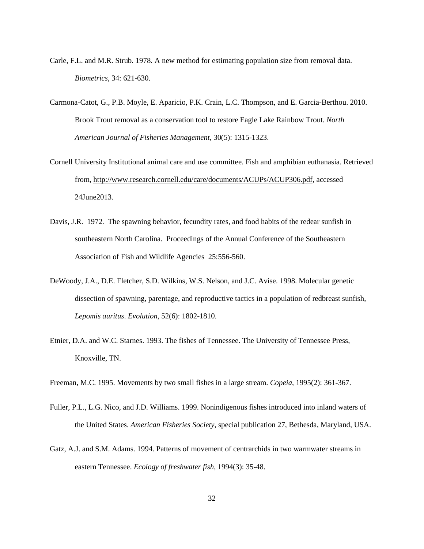- Carle, F.L. and M.R. Strub. 1978. A new method for estimating population size from removal data. *Biometrics,* 34: 621-630.
- Carmona-Catot, G., P.B. Moyle, E. Aparicio, P.K. Crain, L.C. Thompson, and E. Garcia-Berthou. 2010. Brook Trout removal as a conservation tool to restore Eagle Lake Rainbow Trout. *North American Journal of Fisheries Management,* 30(5): 1315-1323.
- Cornell University Institutional animal care and use committee. Fish and amphibian euthanasia. Retrieved from, http://www.research.cornell.edu/care/documents/ACUPs/ACUP306.pdf, accessed 24June2013.
- Davis, J.R. 1972. The spawning behavior, fecundity rates, and food habits of the redear sunfish in southeastern North Carolina. Proceedings of the Annual Conference of the Southeastern Association of Fish and Wildlife Agencies 25:556-560.
- DeWoody, J.A., D.E. Fletcher, S.D. Wilkins, W.S. Nelson, and J.C. Avise. 1998. Molecular genetic dissection of spawning, parentage, and reproductive tactics in a population of redbreast sunfish, *Lepomis auritus*. *Evolution*, 52(6): 1802-1810.
- Etnier, D.A. and W.C. Starnes. 1993. The fishes of Tennessee. The University of Tennessee Press, Knoxville, TN.
- Freeman, M.C. 1995. Movements by two small fishes in a large stream. *Copeia*, 1995(2): 361-367.
- Fuller, P.L., L.G. Nico, and J.D. Williams. 1999. Nonindigenous fishes introduced into inland waters of the United States. *American Fisheries Society*, special publication 27, Bethesda, Maryland, USA.
- Gatz, A.J. and S.M. Adams. 1994. Patterns of movement of centrarchids in two warmwater streams in eastern Tennessee. *Ecology of freshwater fish*, 1994(3): 35-48.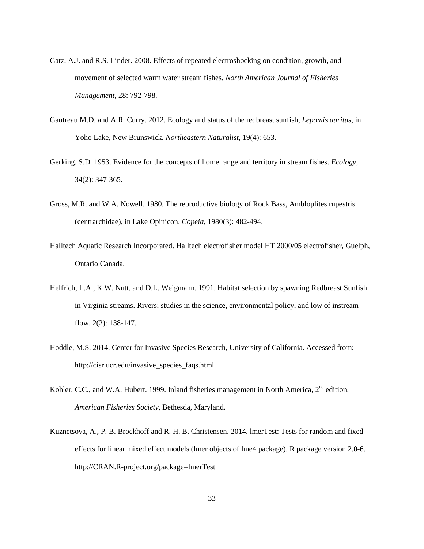- Gatz, A.J. and R.S. Linder. 2008. Effects of repeated electroshocking on condition, growth, and movement of selected warm water stream fishes. *North American Journal of Fisheries Management*, 28: 792-798.
- Gautreau M.D. and A.R. Curry. 2012. Ecology and status of the redbreast sunfish, *Lepomis auritus*, in Yoho Lake, New Brunswick. *Northeastern Naturalist*, 19(4): 653.
- Gerking, S.D. 1953. Evidence for the concepts of home range and territory in stream fishes. *Ecology*, 34(2): 347-365.
- Gross, M.R. and W.A. Nowell. 1980. The reproductive biology of Rock Bass, Ambloplites rupestris (centrarchidae), in Lake Opinicon. *Copeia*, 1980(3): 482-494.
- Halltech Aquatic Research Incorporated. Halltech electrofisher model HT 2000/05 electrofisher, Guelph, Ontario Canada.
- Helfrich, L.A., K.W. Nutt, and D.L. Weigmann. 1991. Habitat selection by spawning Redbreast Sunfish in Virginia streams. Rivers; studies in the science, environmental policy, and low of instream flow, 2(2): 138-147.
- Hoddle, M.S. 2014. Center for Invasive Species Research, University of California. Accessed from: http://cisr.ucr.edu/invasive\_species\_faqs.html.
- Kohler, C.C., and W.A. Hubert. 1999. Inland fisheries management in North America, 2<sup>nd</sup> edition. *American Fisheries Society*, Bethesda, Maryland.
- Kuznetsova, A., P. B. Brockhoff and R. H. B. Christensen. 2014. lmerTest: Tests for random and fixed effects for linear mixed effect models (lmer objects of lme4 package). R package version 2.0-6. http://CRAN.R-project.org/package=lmerTest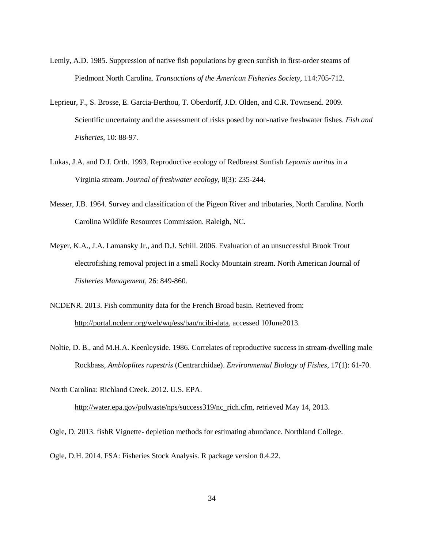- Lemly, A.D. 1985. Suppression of native fish populations by green sunfish in first-order steams of Piedmont North Carolina. *Transactions of the American Fisheries Society,* 114:705-712.
- Leprieur, F., S. Brosse, E. Garcia-Berthou, T. Oberdorff, J.D. Olden, and C.R. Townsend. 2009. Scientific uncertainty and the assessment of risks posed by non-native freshwater fishes. *Fish and Fisheries*, 10: 88-97.
- Lukas, J.A. and D.J. Orth. 1993. Reproductive ecology of Redbreast Sunfish *Lepomis auritus* in a Virginia stream. *Journal of freshwater ecology*, 8(3): 235-244.
- Messer, J.B. 1964. Survey and classification of the Pigeon River and tributaries, North Carolina. North Carolina Wildlife Resources Commission. Raleigh, NC.
- Meyer, K.A., J.A. Lamansky Jr., and D.J. Schill. 2006. Evaluation of an unsuccessful Brook Trout electrofishing removal project in a small Rocky Mountain stream. North American Journal of *Fisheries Management*, 26: 849-860.
- NCDENR. 2013. Fish community data for the French Broad basin. Retrieved from: http://portal.ncdenr.org/web/wq/ess/bau/ncibi-data, accessed 10June2013.
- Noltie, D. B., and M.H.A. Keenleyside. 1986. Correlates of reproductive success in stream-dwelling male Rockbass, *Ambloplites rupestris* (Centrarchidae). *Environmental Biology of Fishes*, 17(1): 61-70.
- North Carolina: Richland Creek. 2012. U.S. EPA.

http://water.epa.gov/polwaste/nps/success319/nc\_rich.cfm, retrieved May 14, 2013.

Ogle, D. 2013. fishR Vignette- depletion methods for estimating abundance. Northland College.

Ogle, D.H. 2014. FSA: Fisheries Stock Analysis. R package version 0.4.22.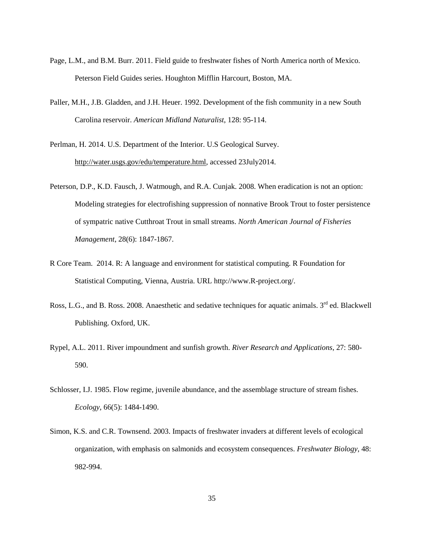- Page, L.M., and B.M. Burr. 2011. Field guide to freshwater fishes of North America north of Mexico. Peterson Field Guides series. Houghton Mifflin Harcourt, Boston, MA.
- Paller, M.H., J.B. Gladden, and J.H. Heuer. 1992. Development of the fish community in a new South Carolina reservoir. *American Midland Naturalist*, 128: 95-114.
- Perlman, H. 2014. U.S. Department of the Interior. U.S Geological Survey. http://water.usgs.gov/edu/temperature.html, accessed 23July2014.
- Peterson, D.P., K.D. Fausch, J. Watmough, and R.A. Cunjak. 2008. When eradication is not an option: Modeling strategies for electrofishing suppression of nonnative Brook Trout to foster persistence of sympatric native Cutthroat Trout in small streams. *North American Journal of Fisheries Management*, 28(6): 1847-1867.
- R Core Team. 2014. R: A language and environment for statistical computing. R Foundation for Statistical Computing, Vienna, Austria. URL http://www.R-project.org/.
- Ross, L.G., and B. Ross. 2008. Anaesthetic and sedative techniques for aquatic animals. 3<sup>rd</sup> ed. Blackwell Publishing. Oxford, UK.
- Rypel, A.L. 2011. River impoundment and sunfish growth. *River Research and Applications*, 27: 580- 590.
- Schlosser, I.J. 1985. Flow regime, juvenile abundance, and the assemblage structure of stream fishes. *Ecology*, 66(5): 1484-1490.
- Simon, K.S. and C.R. Townsend. 2003. Impacts of freshwater invaders at different levels of ecological organization, with emphasis on salmonids and ecosystem consequences. *Freshwater Biology*, 48: 982-994.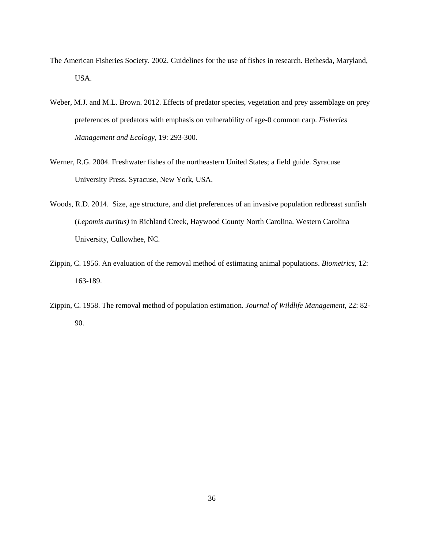- The American Fisheries Society. 2002. Guidelines for the use of fishes in research. Bethesda, Maryland, USA.
- Weber, M.J. and M.L. Brown. 2012. Effects of predator species, vegetation and prey assemblage on prey preferences of predators with emphasis on vulnerability of age-0 common carp. *Fisheries Management and Ecology*, 19: 293-300.
- Werner, R.G. 2004. Freshwater fishes of the northeastern United States; a field guide. Syracuse University Press. Syracuse, New York, USA.
- Woods, R.D. 2014. Size, age structure, and diet preferences of an invasive population redbreast sunfish (*Lepomis auritus)* in Richland Creek, Haywood County North Carolina. Western Carolina University, Cullowhee, NC.
- Zippin, C. 1956. An evaluation of the removal method of estimating animal populations. *Biometrics*, 12: 163-189.
- Zippin, C. 1958. The removal method of population estimation. *Journal of Wildlife Management,* 22: 82- 90.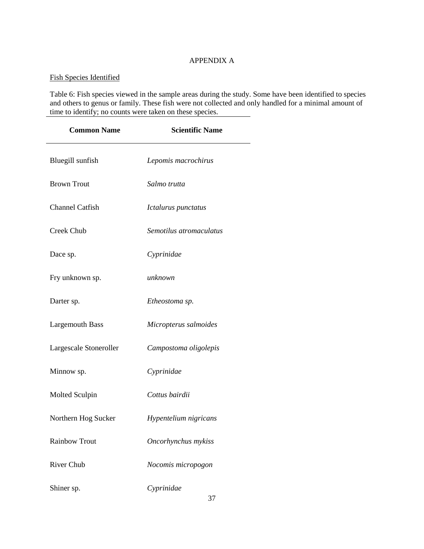## APPENDIX A

# Fish Species Identified

Table 6: Fish species viewed in the sample areas during the study. Some have been identified to species and others to genus or family. These fish were not collected and only handled for a minimal amount of time to identify; no counts were taken on these species.

| <b>Common Name</b>     | <b>Scientific Name</b>  |
|------------------------|-------------------------|
| Bluegill sunfish       | Lepomis macrochirus     |
| <b>Brown Trout</b>     | Salmo trutta            |
| <b>Channel Catfish</b> | Ictalurus punctatus     |
| Creek Chub             | Semotilus atromaculatus |
| Dace sp.               | Cyprinidae              |
| Fry unknown sp.        | unknown                 |
| Darter sp.             | Etheostoma sp.          |
| <b>Largemouth Bass</b> | Micropterus salmoides   |
| Largescale Stoneroller | Campostoma oligolepis   |
| Minnow sp.             | Cyprinidae              |
| Molted Sculpin         | Cottus bairdii          |
| Northern Hog Sucker    | Hypentelium nigricans   |
| <b>Rainbow Trout</b>   | Oncorhynchus mykiss     |
| <b>River Chub</b>      | Nocomis micropogon      |
| Shiner sp.             | Cyprinidae              |